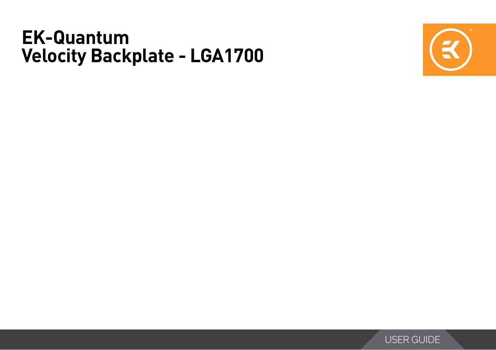# **EK-Quantum Velocity Backplate - LGA1700**



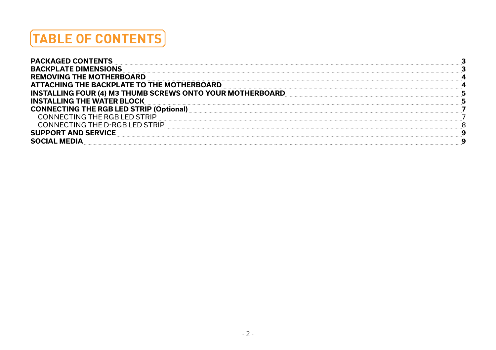# **TABLE OF CONTENTS**

| <b>PACKAGED CONTENTS</b>                                         |  |
|------------------------------------------------------------------|--|
| <b>BACKPLATE DIMENSIONS</b>                                      |  |
| <b>REMOVING THE MOTHERBOARD</b>                                  |  |
| ATTACHING THE BACKPLATE TO THE MOTHERBOARD                       |  |
| <b>INSTALLING FOUR (4) M3 THUMB SCREWS ONTO YOUR MOTHERBOARD</b> |  |
| <b>INSTALLING THE WATER BLOCK</b>                                |  |
| <b>CONNECTING THE RGB LED STRIP (Optional)</b>                   |  |
| CONNECTING THE RGB LED STRIP                                     |  |
| CONNECTING THE D-RGB LED STRIP                                   |  |
| <b>SUPPORT AND SERVICE</b>                                       |  |
|                                                                  |  |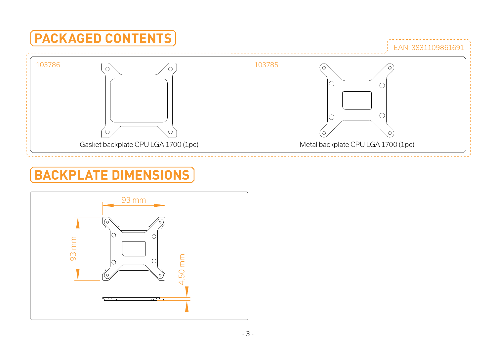<span id="page-2-0"></span>

### **BACKPLATE DIMENSIONS**

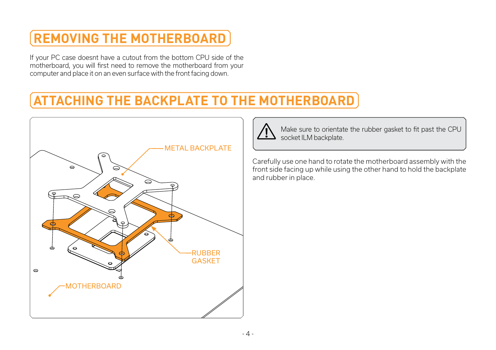## <span id="page-3-0"></span>**REMOVING THE MOTHERBOARD**

If your PC case doesnt have a cutout from the bottom CPU side of the motherboard, you will first need to remove the motherboard from your computer and place it on an even surface with the front facing down.

## **ATTACHING THE BACKPLATE TO THE MOTHERBOARD**





Make sure to orientate the rubber gasket to fit past the CPU socket ILM backplate.

Carefully use one hand to rotate the motherboard assembly with the front side facing up while using the other hand to hold the backplate and rubber in place.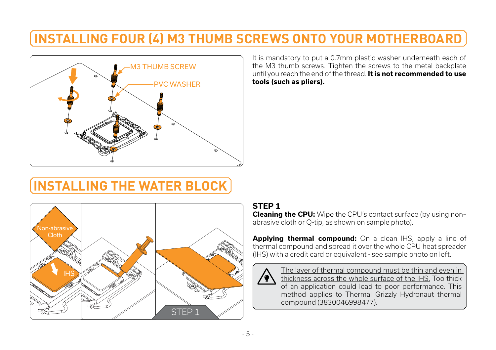### <span id="page-4-0"></span>**INSTALLING FOUR (4) M3 THUMB SCREWS ONTO YOUR MOTHERBOARD**



It is mandatory to put a 0.7mm plastic washer underneath each of the M3 thumb screws. Tighten the screws to the metal backplate until you reach the end of the thread. **It is not recommended to use tools (such as pliers).**

## **INSTALLING THE WATER BLOCK**



#### **STEP 1**

**Cleaning the CPU:** Wipe the CPU's contact surface (by using non– abrasive cloth or Q-tip, as shown on sample photo).

**Applying thermal compound:** On a clean IHS, apply a line of thermal compound and spread it over the whole CPU heat spreader (IHS) with a credit card or equivalent - see sample photo on left.



The layer of thermal compound must be thin and even in thickness across the whole surface of the IHS. Too thick of an application could lead to poor performance. This method applies to Thermal Grizzly Hydronaut thermal compound (3830046998477).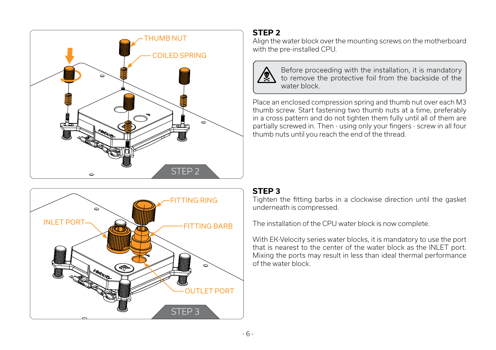



#### **STEP 2**

Align the water block over the mounting screws on the motherboard with the pre-installed CPU.



Before proceeding with the installation, it is mandatory to remove the protective foil from the backside of the water block.

Place an enclosed compression spring and thumb nut over each M3 thumb screw. Start fastening two thumb nuts at a time, preferably in a cross pattern and do not tighten them fully until all of them are partially screwed in. Then - using only your fingers - screw in all four thumb nuts until you reach the end of the thread.

#### **STEP 3**

Tighten the fitting barbs in a clockwise direction until the gasket underneath is compressed.

The installation of the CPU water block is now complete.

With EK-Velocity series water blocks, it is mandatory to use the port that is nearest to the center of the water block as the INLET port. Mixing the ports may result in less than ideal thermal performance of the water block.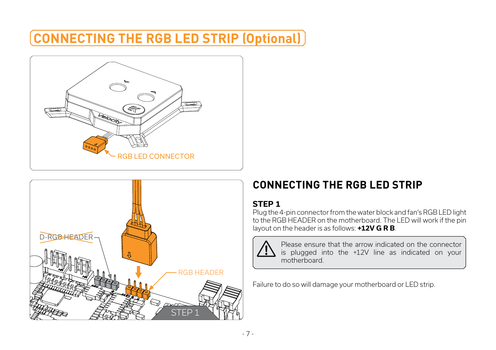### <span id="page-6-0"></span>**CONNECTING THE RGB LED STRIP (Optional)**





### **CONNECTING THE RGB LED STRIP**

#### **STEP 1**

Plug the 4-pin connector from the water block and fan's RGB LED light to the RGB HEADER on the motherboard. The LED will work if the pin layout on the header is as follows: **+12V G R B**.



Please ensure that the arrow indicated on the connector is plugged into the +12V line as indicated on your motherboard.

Failure to do so will damage your motherboard or LED strip.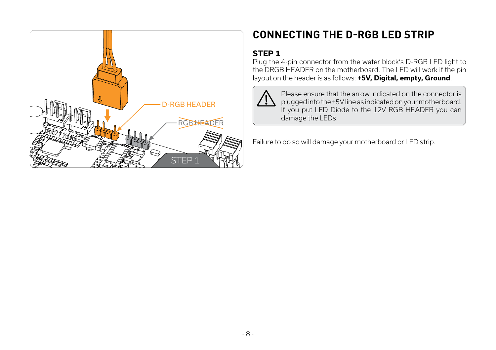<span id="page-7-0"></span>

### **CONNECTING THE D-RGB LED STRIP**

#### **STEP 1**

Plug the 4-pin connector from the water block's D-RGB LED light to the DRGB HEADER on the motherboard. The LED will work if the pin layout on the header is as follows: **+5V, Digital, empty, Ground**.



Please ensure that the arrow indicated on the connector is plugged into the +5V line as indicated on your motherboard. If you put LED Diode to the 12V RGB HEADER you can damage the LEDs.

Failure to do so will damage your motherboard or LED strip.